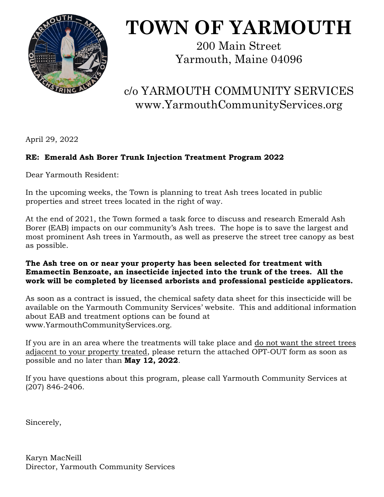

# **TOWN OF YARMOUTH**

200 Main Street Yarmouth, Maine 04096

# c/o YARMOUTH COMMUNITY SERVICES www.YarmouthCommunityServices.org

April 29, 2022

## **RE: Emerald Ash Borer Trunk Injection Treatment Program 2022**

Dear Yarmouth Resident:

In the upcoming weeks, the Town is planning to treat Ash trees located in public properties and street trees located in the right of way.

At the end of 2021, the Town formed a task force to discuss and research Emerald Ash Borer (EAB) impacts on our community's Ash trees. The hope is to save the largest and most prominent Ash trees in Yarmouth, as well as preserve the street tree canopy as best as possible.

#### **The Ash tree on or near your property has been selected for treatment with Emamectin Benzoate, an insecticide injected into the trunk of the trees. All the work will be completed by licensed arborists and professional pesticide applicators.**

As soon as a contract is issued, the chemical safety data sheet for this insecticide will be available on the Yarmouth Community Services' website. This and additional information about EAB and treatment options can be found at [www.YarmouthCommunityServices.org.](http://www.YarmouthCommunityServices.org)

If you are in an area where the treatments will take place and do not want the street trees adjacent to your property treated, please return the attached OPT-OUT form as soon as possible and no later than **May 12, 2022**.

If you have questions about this program, please call Yarmouth Community Services at (207) 846-2406.

Sincerely,

Karyn MacNeill Director, Yarmouth Community Services